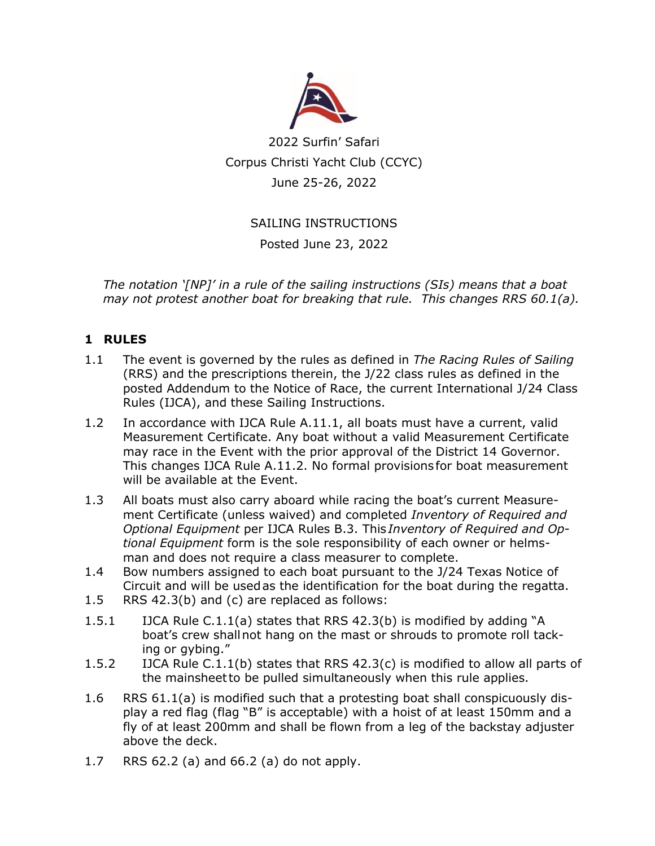

2022 Surfin' Safari Corpus Christi Yacht Club (CCYC) June 25-26, 2022

#### SAILING INSTRUCTIONS

Posted June 23, 2022

*The notation '[NP]' in a rule of the sailing instructions (SIs) means that a boat may not protest another boat for breaking that rule. This changes RRS 60.1(a).* 

#### **1 RULES**

- 1.1 The event is governed by the rules as defined in *The Racing Rules of Sailing* (RRS) and the prescriptions therein, the J/22 class rules as defined in the posted Addendum to the Notice of Race, the current International J/24 Class Rules (IJCA), and these Sailing Instructions.
- 1.2 In accordance with IJCA Rule A.11.1, all boats must have a current, valid Measurement Certificate. Any boat without a valid Measurement Certificate may race in the Event with the prior approval of the District 14 Governor. This changes IJCA Rule A.11.2. No formal provisions for boat measurement will be available at the Event.
- 1.3 All boats must also carry aboard while racing the boat's current Measurement Certificate (unless waived) and completed *Inventory of Required and Optional Equipment* per IJCA Rules B.3. This *Inventory of Required and Optional Equipment* form is the sole responsibility of each owner or helmsman and does not require a class measurer to complete.
- 1.4 Bow numbers assigned to each boat pursuant to the J/24 Texas Notice of Circuit and will be usedas the identification for the boat during the regatta.
- 1.5 RRS 42.3(b) and (c) are replaced as follows:
- 1.5.1 IJCA Rule C.1.1(a) states that RRS 42.3(b) is modified by adding "A boat's crew shallnot hang on the mast or shrouds to promote roll tacking or gybing."
- 1.5.2 IJCA Rule C.1.1(b) states that RRS 42.3(c) is modified to allow all parts of the mainsheetto be pulled simultaneously when this rule applies.
- 1.6 RRS 61.1(a) is modified such that a protesting boat shall conspicuously display a red flag (flag "B" is acceptable) with a hoist of at least 150mm and a fly of at least 200mm and shall be flown from a leg of the backstay adjuster above the deck.
- 1.7 RRS 62.2 (a) and 66.2 (a) do not apply.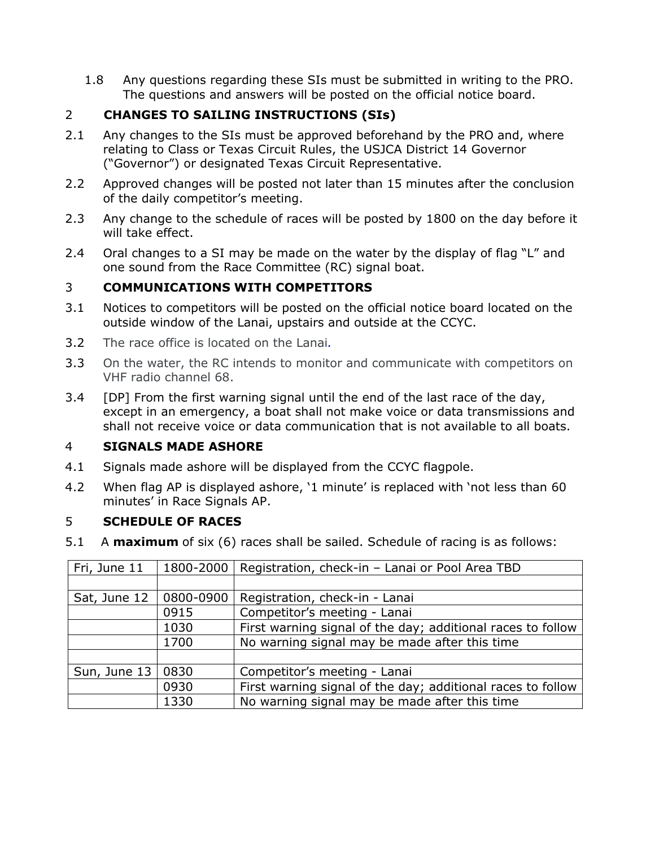1.8 Any questions regarding these SIs must be submitted in writing to the PRO. The questions and answers will be posted on the official notice board.

## 2 **CHANGES TO SAILING INSTRUCTIONS (SIs)**

- 2.1 Any changes to the SIs must be approved beforehand by the PRO and, where relating to Class or Texas Circuit Rules, the USJCA District 14 Governor ("Governor") or designated Texas Circuit Representative.
- 2.2 Approved changes will be posted not later than 15 minutes after the conclusion of the daily competitor's meeting.
- 2.3 Any change to the schedule of races will be posted by 1800 on the day before it will take effect.
- 2.4 Oral changes to a SI may be made on the water by the display of flag "L" and one sound from the Race Committee (RC) signal boat.

#### 3 **COMMUNICATIONS WITH COMPETITORS**

- 3.1 Notices to competitors will be posted on the official notice board located on the outside window of the Lanai, upstairs and outside at the CCYC.
- 3.2 The race office is located on the Lanai*.*
- 3.3 On the water, the RC intends to monitor and communicate with competitors on VHF radio channel 68.
- 3.4 [DP] From the first warning signal until the end of the last race of the day, except in an emergency, a boat shall not make voice or data transmissions and shall not receive voice or data communication that is not available to all boats.

#### 4 **SIGNALS MADE ASHORE**

- 4.1 Signals made ashore will be displayed from the CCYC flagpole.
- 4.2 When flag AP is displayed ashore, '1 minute' is replaced with 'not less than 60 minutes' in Race Signals AP.

#### 5 **SCHEDULE OF RACES**

5.1 A **maximum** of six (6) races shall be sailed. Schedule of racing is as follows:

| Fri, June 11   | 1800-2000 | Registration, check-in - Lanai or Pool Area TBD             |  |  |
|----------------|-----------|-------------------------------------------------------------|--|--|
|                |           |                                                             |  |  |
| Sat, June 12   | 0800-0900 | Registration, check-in - Lanai                              |  |  |
|                | 0915      | Competitor's meeting - Lanai                                |  |  |
|                | 1030      | First warning signal of the day; additional races to follow |  |  |
|                | 1700      | No warning signal may be made after this time               |  |  |
|                |           |                                                             |  |  |
| Sun, June $13$ | 0830      | Competitor's meeting - Lanai                                |  |  |
|                | 0930      | First warning signal of the day; additional races to follow |  |  |
|                | 1330      | No warning signal may be made after this time               |  |  |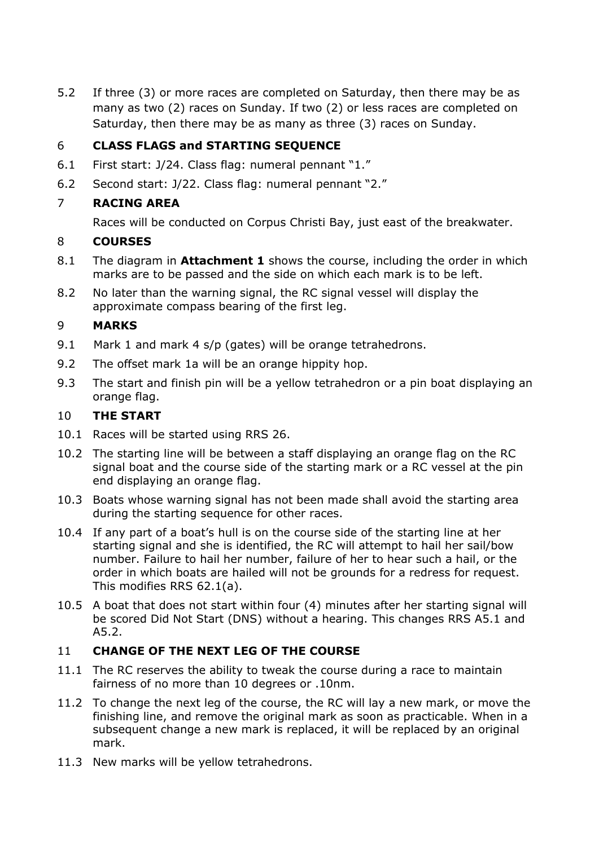5.2 If three (3) or more races are completed on Saturday, then there may be as many as two (2) races on Sunday. If two (2) or less races are completed on Saturday, then there may be as many as three (3) races on Sunday.

#### 6 **CLASS FLAGS and STARTING SEQUENCE**

- 6.1 First start: J/24. Class flag: numeral pennant "1."
- 6.2 Second start: J/22. Class flag: numeral pennant "2."

#### 7 **RACING AREA**

Races will be conducted on Corpus Christi Bay, just east of the breakwater.

#### 8 **COURSES**

- 8.1 The diagram in **Attachment 1** shows the course, including the order in which marks are to be passed and the side on which each mark is to be left.
- 8.2 No later than the warning signal, the RC signal vessel will display the approximate compass bearing of the first leg.

#### 9 **MARKS**

- 9.1 Mark 1 and mark 4 s/p (gates) will be orange tetrahedrons.
- 9.2 The offset mark 1a will be an orange hippity hop.
- 9.3 The start and finish pin will be a yellow tetrahedron or a pin boat displaying an orange flag.

#### 10 **THE START**

- 10.1 Races will be started using RRS 26.
- 10.2 The starting line will be between a staff displaying an orange flag on the RC signal boat and the course side of the starting mark or a RC vessel at the pin end displaying an orange flag.
- 10.3 Boats whose warning signal has not been made shall avoid the starting area during the starting sequence for other races.
- 10.4 If any part of a boat's hull is on the course side of the starting line at her starting signal and she is identified, the RC will attempt to hail her sail/bow number. Failure to hail her number, failure of her to hear such a hail, or the order in which boats are hailed will not be grounds for a redress for request. This modifies RRS 62.1(a).
- 10.5 A boat that does not start within four (4) minutes after her starting signal will be scored Did Not Start (DNS) without a hearing. This changes RRS A5.1 and A5.2.

#### 11 **CHANGE OF THE NEXT LEG OF THE COURSE**

- 11.1 The RC reserves the ability to tweak the course during a race to maintain fairness of no more than 10 degrees or .10nm.
- 11.2 To change the next leg of the course, the RC will lay a new mark, or move the finishing line, and remove the original mark as soon as practicable. When in a subsequent change a new mark is replaced, it will be replaced by an original mark.
- 11.3 New marks will be yellow tetrahedrons.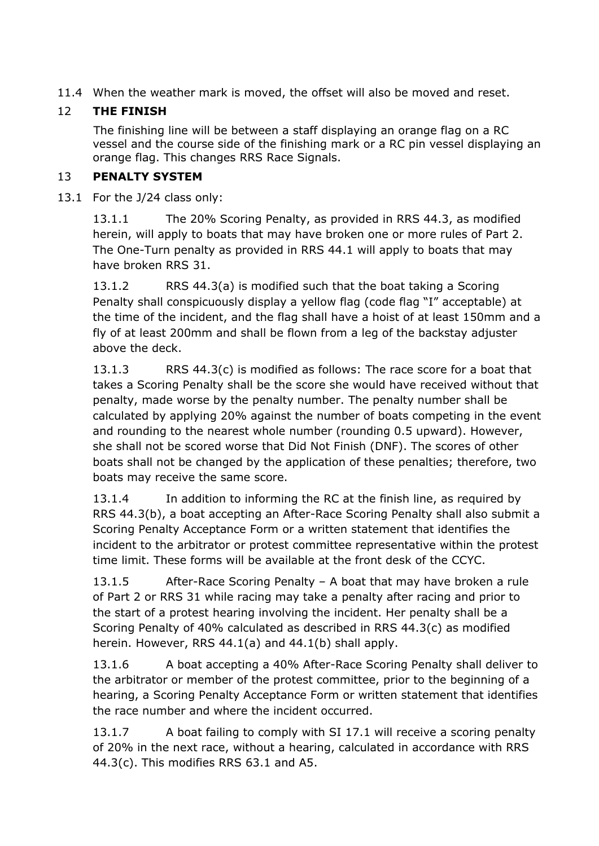11.4 When the weather mark is moved, the offset will also be moved and reset.

# 12 **THE FINISH**

The finishing line will be between a staff displaying an orange flag on a RC vessel and the course side of the finishing mark or a RC pin vessel displaying an orange flag. This changes RRS Race Signals.

#### 13 **PENALTY SYSTEM**

13.1 For the J/24 class only:

13.1.1 The 20% Scoring Penalty, as provided in RRS 44.3, as modified herein, will apply to boats that may have broken one or more rules of Part 2. The One-Turn penalty as provided in RRS 44.1 will apply to boats that may have broken RRS 31.

13.1.2 RRS 44.3(a) is modified such that the boat taking a Scoring Penalty shall conspicuously display a yellow flag (code flag "I" acceptable) at the time of the incident, and the flag shall have a hoist of at least 150mm and a fly of at least 200mm and shall be flown from a leg of the backstay adjuster above the deck.

13.1.3 RRS 44.3(c) is modified as follows: The race score for a boat that takes a Scoring Penalty shall be the score she would have received without that penalty, made worse by the penalty number. The penalty number shall be calculated by applying 20% against the number of boats competing in the event and rounding to the nearest whole number (rounding 0.5 upward). However, she shall not be scored worse that Did Not Finish (DNF). The scores of other boats shall not be changed by the application of these penalties; therefore, two boats may receive the same score.

13.1.4 In addition to informing the RC at the finish line, as required by RRS 44.3(b), a boat accepting an After-Race Scoring Penalty shall also submit a Scoring Penalty Acceptance Form or a written statement that identifies the incident to the arbitrator or protest committee representative within the protest time limit. These forms will be available at the front desk of the CCYC.

13.1.5 After-Race Scoring Penalty – A boat that may have broken a rule of Part 2 or RRS 31 while racing may take a penalty after racing and prior to the start of a protest hearing involving the incident. Her penalty shall be a Scoring Penalty of 40% calculated as described in RRS 44.3(c) as modified herein. However, RRS 44.1(a) and 44.1(b) shall apply.

13.1.6 A boat accepting a 40% After-Race Scoring Penalty shall deliver to the arbitrator or member of the protest committee, prior to the beginning of a hearing, a Scoring Penalty Acceptance Form or written statement that identifies the race number and where the incident occurred.

13.1.7 A boat failing to comply with SI 17.1 will receive a scoring penalty of 20% in the next race, without a hearing, calculated in accordance with RRS 44.3(c). This modifies RRS 63.1 and A5.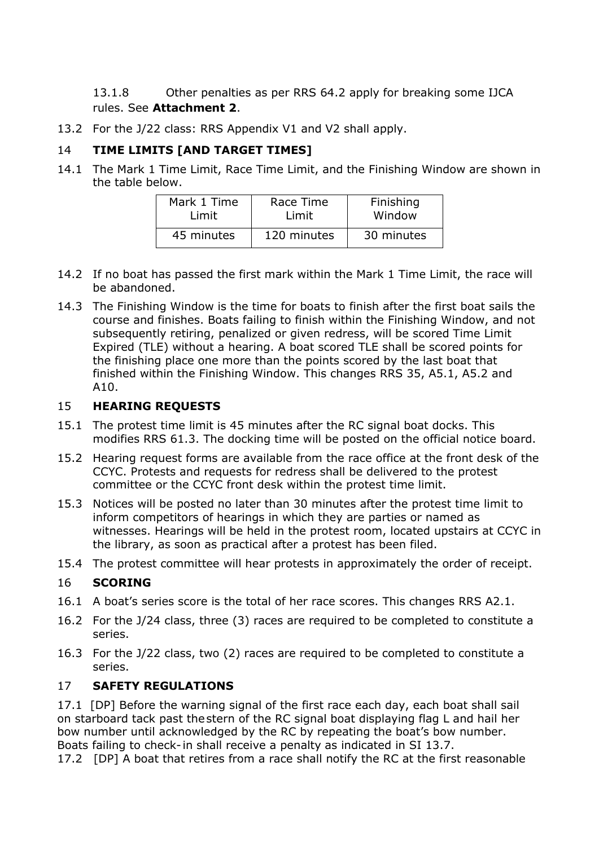13.1.8 Other penalties as per RRS 64.2 apply for breaking some IJCA rules. See **Attachment 2**.

13.2 For the J/22 class: RRS Appendix V1 and V2 shall apply.

## 14 **TIME LIMITS [AND TARGET TIMES]**

14.1 The Mark 1 Time Limit, Race Time Limit, and the Finishing Window are shown in the table below.

| Mark 1 Time | Race Time   | Finishing  |
|-------------|-------------|------------|
| Limit       | Limit       | Window     |
| 45 minutes  | 120 minutes | 30 minutes |

- 14.2 If no boat has passed the first mark within the Mark 1 Time Limit, the race will be abandoned.
- 14.3 The Finishing Window is the time for boats to finish after the first boat sails the course and finishes. Boats failing to finish within the Finishing Window, and not subsequently retiring, penalized or given redress, will be scored Time Limit Expired (TLE) without a hearing. A boat scored TLE shall be scored points for the finishing place one more than the points scored by the last boat that finished within the Finishing Window. This changes RRS 35, A5.1, A5.2 and A10.

#### 15 **HEARING REQUESTS**

- 15.1 The protest time limit is 45 minutes after the RC signal boat docks. This modifies RRS 61.3. The docking time will be posted on the official notice board.
- 15.2 Hearing request forms are available from the race office at the front desk of the CCYC. Protests and requests for redress shall be delivered to the protest committee or the CCYC front desk within the protest time limit.
- 15.3 Notices will be posted no later than 30 minutes after the protest time limit to inform competitors of hearings in which they are parties or named as witnesses. Hearings will be held in the protest room, located upstairs at CCYC in the library, as soon as practical after a protest has been filed.
- 15.4 The protest committee will hear protests in approximately the order of receipt.

#### 16 **SCORING**

- 16.1 A boat's series score is the total of her race scores. This changes RRS A2.1.
- 16.2 For the J/24 class, three (3) races are required to be completed to constitute a series.
- 16.3 For the J/22 class, two (2) races are required to be completed to constitute a series.

#### 17 **SAFETY REGULATIONS**

17.1 [DP] Before the warning signal of the first race each day, each boat shall sail on starboard tack past thestern of the RC signal boat displaying flag L and hail her bow number until acknowledged by the RC by repeating the boat's bow number. Boats failing to check- in shall receive a penalty as indicated in SI 13.7.

17.2 [DP] A boat that retires from a race shall notify the RC at the first reasonable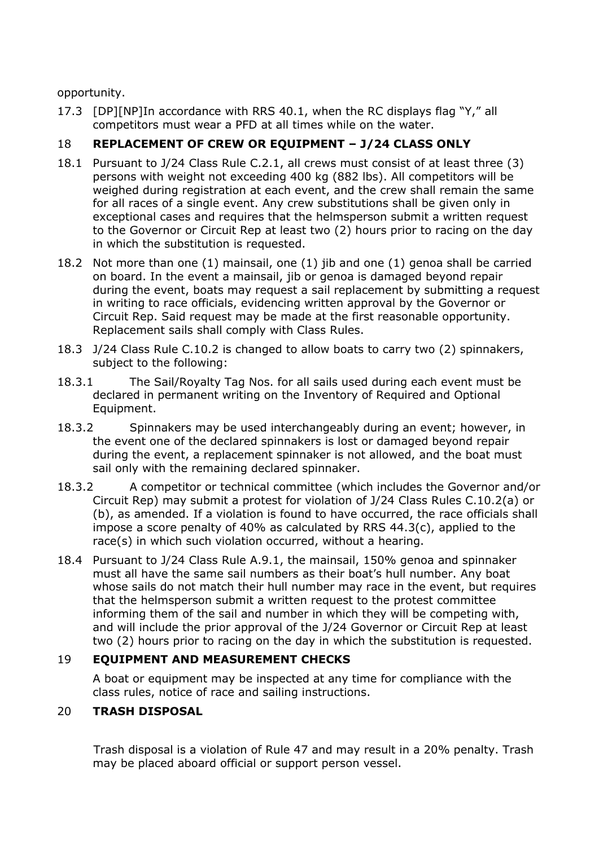opportunity.

17.3 [DP][NP]In accordance with RRS 40.1, when the RC displays flag "Y," all competitors must wear a PFD at all times while on the water.

# 18 **REPLACEMENT OF CREW OR EQUIPMENT – J/24 CLASS ONLY**

- 18.1 Pursuant to J/24 Class Rule C.2.1, all crews must consist of at least three (3) persons with weight not exceeding 400 kg (882 lbs). All competitors will be weighed during registration at each event, and the crew shall remain the same for all races of a single event. Any crew substitutions shall be given only in exceptional cases and requires that the helmsperson submit a written request to the Governor or Circuit Rep at least two (2) hours prior to racing on the day in which the substitution is requested.
- 18.2 Not more than one (1) mainsail, one (1) jib and one (1) genoa shall be carried on board. In the event a mainsail, jib or genoa is damaged beyond repair during the event, boats may request a sail replacement by submitting a request in writing to race officials, evidencing written approval by the Governor or Circuit Rep. Said request may be made at the first reasonable opportunity. Replacement sails shall comply with Class Rules.
- 18.3 J/24 Class Rule C.10.2 is changed to allow boats to carry two (2) spinnakers, subject to the following:
- 18.3.1 The Sail/Royalty Tag Nos. for all sails used during each event must be declared in permanent writing on the Inventory of Required and Optional Equipment.
- 18.3.2 Spinnakers may be used interchangeably during an event; however, in the event one of the declared spinnakers is lost or damaged beyond repair during the event, a replacement spinnaker is not allowed, and the boat must sail only with the remaining declared spinnaker.
- 18.3.2 A competitor or technical committee (which includes the Governor and/or Circuit Rep) may submit a protest for violation of J/24 Class Rules C.10.2(a) or (b), as amended. If a violation is found to have occurred, the race officials shall impose a score penalty of 40% as calculated by RRS 44.3(c), applied to the race(s) in which such violation occurred, without a hearing.
- 18.4 Pursuant to J/24 Class Rule A.9.1, the mainsail, 150% genoa and spinnaker must all have the same sail numbers as their boat's hull number. Any boat whose sails do not match their hull number may race in the event, but requires that the helmsperson submit a written request to the protest committee informing them of the sail and number in which they will be competing with, and will include the prior approval of the J/24 Governor or Circuit Rep at least two (2) hours prior to racing on the day in which the substitution is requested.

#### 19 **EQUIPMENT AND MEASUREMENT CHECKS**

A boat or equipment may be inspected at any time for compliance with the class rules, notice of race and sailing instructions.

#### 20 **TRASH DISPOSAL**

Trash disposal is a violation of Rule 47 and may result in a 20% penalty. Trash may be placed aboard official or support person vessel.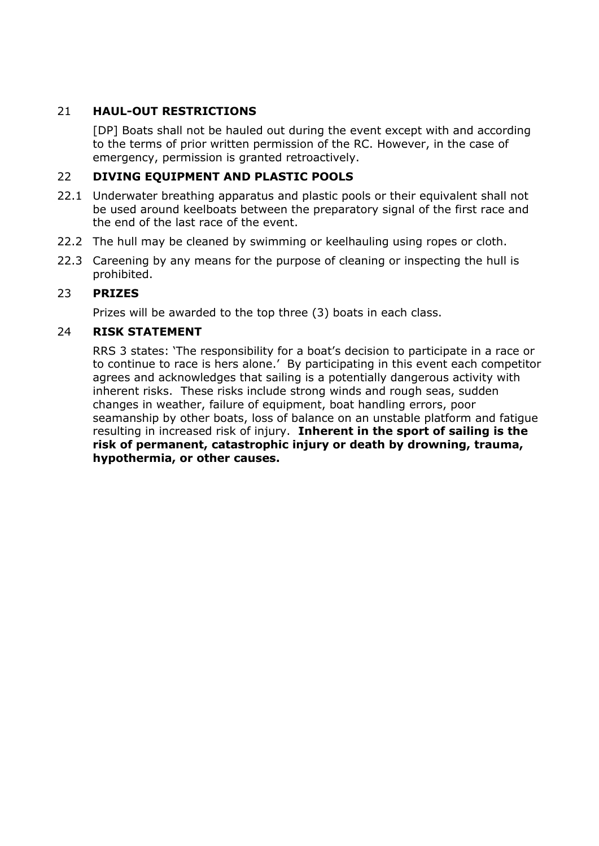# 21 **HAUL-OUT RESTRICTIONS**

[DP] Boats shall not be hauled out during the event except with and according to the terms of prior written permission of the RC. However, in the case of emergency, permission is granted retroactively.

#### 22 **DIVING EQUIPMENT AND PLASTIC POOLS**

- 22.1 Underwater breathing apparatus and plastic pools or their equivalent shall not be used around keelboats between the preparatory signal of the first race and the end of the last race of the event.
- 22.2 The hull may be cleaned by swimming or keelhauling using ropes or cloth.
- 22.3 Careening by any means for the purpose of cleaning or inspecting the hull is prohibited.

#### 23 **PRIZES**

Prizes will be awarded to the top three (3) boats in each class.

#### 24 **RISK STATEMENT**

RRS 3 states: 'The responsibility for a boat's decision to participate in a race or to continue to race is hers alone.' By participating in this event each competitor agrees and acknowledges that sailing is a potentially dangerous activity with inherent risks. These risks include strong winds and rough seas, sudden changes in weather, failure of equipment, boat handling errors, poor seamanship by other boats, loss of balance on an unstable platform and fatigue resulting in increased risk of injury. **Inherent in the sport of sailing is the risk of permanent, catastrophic injury or death by drowning, trauma, hypothermia, or other causes.**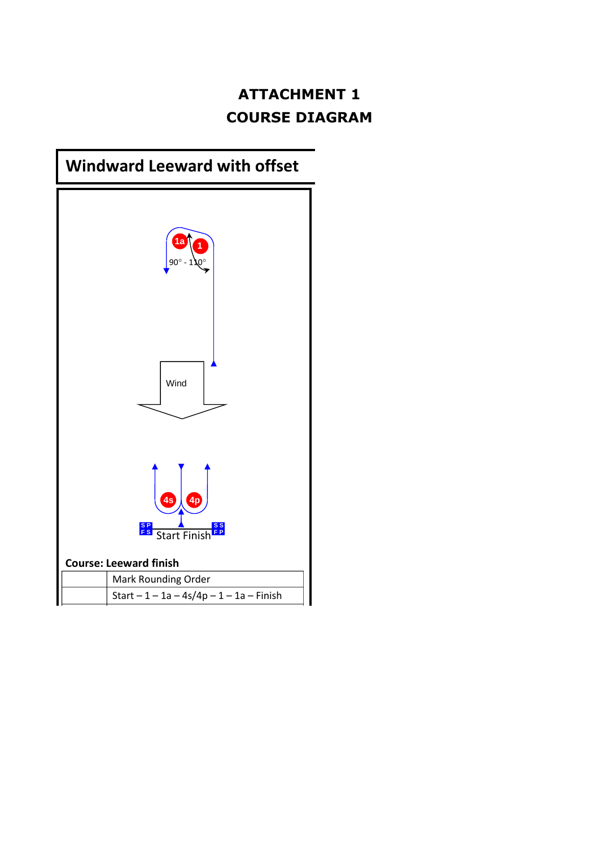# **ATTACHMENT 1 COURSE DIAGRAM**